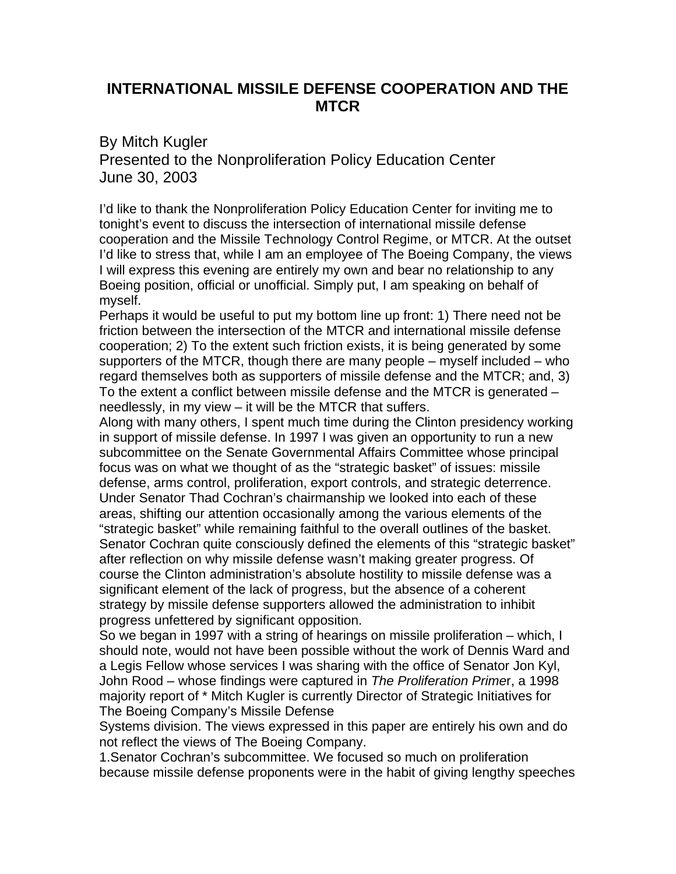## **INTERNATIONAL MISSILE DEFENSE COOPERATION AND THE MTCR**

By Mitch Kugler Presented to the Nonproliferation Policy Education Center June 30, 2003

I'd like to thank the Nonproliferation Policy Education Center for inviting me to tonight's event to discuss the intersection of international missile defense cooperation and the Missile Technology Control Regime, or MTCR. At the outset I'd like to stress that, while I am an employee of The Boeing Company, the views I will express this evening are entirely my own and bear no relationship to any Boeing position, official or unofficial. Simply put, I am speaking on behalf of myself.

Perhaps it would be useful to put my bottom line up front: 1) There need not be friction between the intersection of the MTCR and international missile defense cooperation; 2) To the extent such friction exists, it is being generated by some supporters of the MTCR, though there are many people – myself included – who regard themselves both as supporters of missile defense and the MTCR; and, 3) To the extent a conflict between missile defense and the MTCR is generated – needlessly, in my view – it will be the MTCR that suffers.

Along with many others, I spent much time during the Clinton presidency working in support of missile defense. In 1997 I was given an opportunity to run a new subcommittee on the Senate Governmental Affairs Committee whose principal focus was on what we thought of as the "strategic basket" of issues: missile defense, arms control, proliferation, export controls, and strategic deterrence. Under Senator Thad Cochran's chairmanship we looked into each of these areas, shifting our attention occasionally among the various elements of the "strategic basket" while remaining faithful to the overall outlines of the basket. Senator Cochran quite consciously defined the elements of this "strategic basket" after reflection on why missile defense wasn't making greater progress. Of course the Clinton administration's absolute hostility to missile defense was a significant element of the lack of progress, but the absence of a coherent strategy by missile defense supporters allowed the administration to inhibit progress unfettered by significant opposition.

So we began in 1997 with a string of hearings on missile proliferation – which, I should note, would not have been possible without the work of Dennis Ward and a Legis Fellow whose services I was sharing with the office of Senator Jon Kyl, John Rood – whose findings were captured in *The Proliferation Prime*r, a 1998 majority report of \* Mitch Kugler is currently Director of Strategic Initiatives for The Boeing Company's Missile Defense

Systems division. The views expressed in this paper are entirely his own and do not reflect the views of The Boeing Company.

1.Senator Cochran's subcommittee. We focused so much on proliferation because missile defense proponents were in the habit of giving lengthy speeches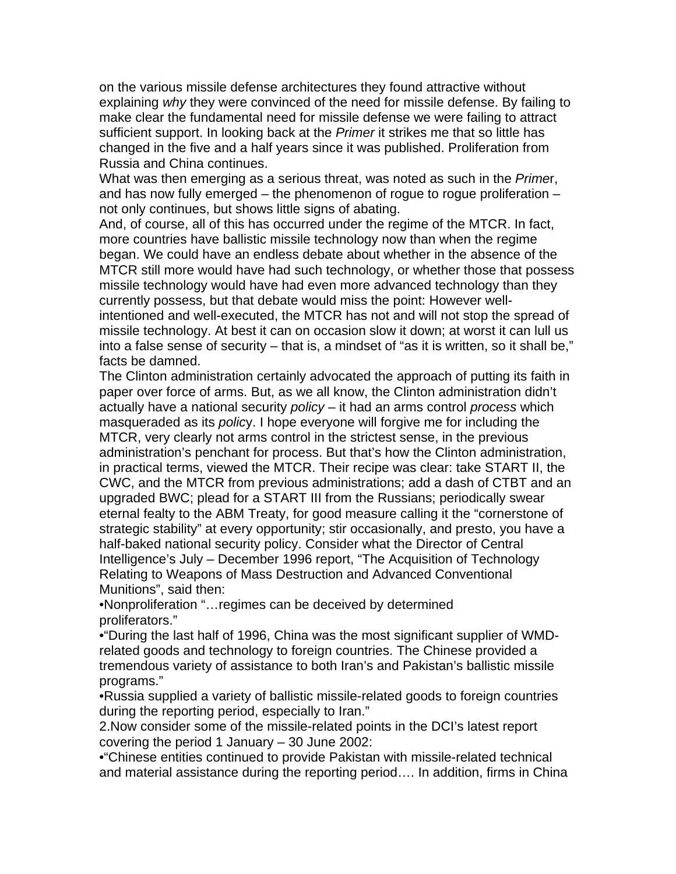on the various missile defense architectures they found attractive without explaining *why* they were convinced of the need for missile defense. By failing to make clear the fundamental need for missile defense we were failing to attract sufficient support. In looking back at the *Primer* it strikes me that so little has changed in the five and a half years since it was published. Proliferation from Russia and China continues.

What was then emerging as a serious threat, was noted as such in the *Prime*r, and has now fully emerged – the phenomenon of rogue to rogue proliferation – not only continues, but shows little signs of abating.

And, of course, all of this has occurred under the regime of the MTCR. In fact, more countries have ballistic missile technology now than when the regime began. We could have an endless debate about whether in the absence of the MTCR still more would have had such technology, or whether those that possess missile technology would have had even more advanced technology than they currently possess, but that debate would miss the point: However wellintentioned and well-executed, the MTCR has not and will not stop the spread of missile technology. At best it can on occasion slow it down; at worst it can lull us into a false sense of security – that is, a mindset of "as it is written, so it shall be," facts be damned.

The Clinton administration certainly advocated the approach of putting its faith in paper over force of arms. But, as we all know, the Clinton administration didn't actually have a national security *policy* – it had an arms control *process* which masqueraded as its *polic*y. I hope everyone will forgive me for including the MTCR, very clearly not arms control in the strictest sense, in the previous administration's penchant for process. But that's how the Clinton administration, in practical terms, viewed the MTCR. Their recipe was clear: take START II, the CWC, and the MTCR from previous administrations; add a dash of CTBT and an upgraded BWC; plead for a START III from the Russians; periodically swear eternal fealty to the ABM Treaty, for good measure calling it the "cornerstone of strategic stability" at every opportunity; stir occasionally, and presto, you have a half-baked national security policy. Consider what the Director of Central Intelligence's July – December 1996 report, "The Acquisition of Technology Relating to Weapons of Mass Destruction and Advanced Conventional Munitions", said then:

•Nonproliferation "…regimes can be deceived by determined proliferators."

•"During the last half of 1996, China was the most significant supplier of WMDrelated goods and technology to foreign countries. The Chinese provided a tremendous variety of assistance to both Iran's and Pakistan's ballistic missile programs."

•Russia supplied a variety of ballistic missile-related goods to foreign countries during the reporting period, especially to Iran."

2.Now consider some of the missile-related points in the DCI's latest report covering the period 1 January – 30 June 2002:

•"Chinese entities continued to provide Pakistan with missile-related technical and material assistance during the reporting period…. In addition, firms in China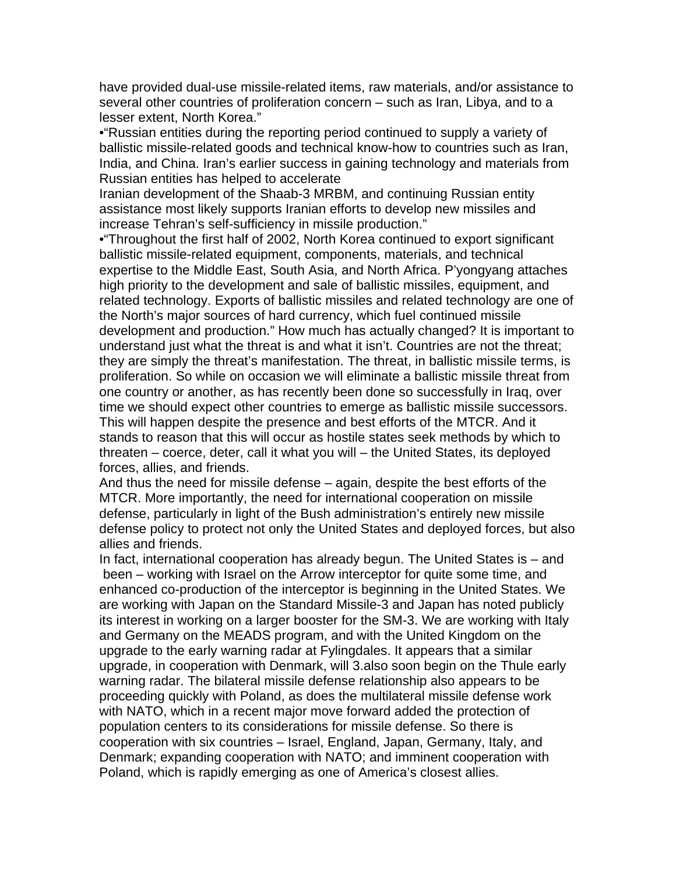have provided dual-use missile-related items, raw materials, and/or assistance to several other countries of proliferation concern – such as Iran, Libya, and to a lesser extent, North Korea."

•"Russian entities during the reporting period continued to supply a variety of ballistic missile-related goods and technical know-how to countries such as Iran, India, and China. Iran's earlier success in gaining technology and materials from Russian entities has helped to accelerate

Iranian development of the Shaab-3 MRBM, and continuing Russian entity assistance most likely supports Iranian efforts to develop new missiles and increase Tehran's self-sufficiency in missile production."

•"Throughout the first half of 2002, North Korea continued to export significant ballistic missile-related equipment, components, materials, and technical expertise to the Middle East, South Asia, and North Africa. P'yongyang attaches high priority to the development and sale of ballistic missiles, equipment, and related technology. Exports of ballistic missiles and related technology are one of the North's major sources of hard currency, which fuel continued missile development and production." How much has actually changed? It is important to understand just what the threat is and what it isn't. Countries are not the threat; they are simply the threat's manifestation. The threat, in ballistic missile terms, is proliferation. So while on occasion we will eliminate a ballistic missile threat from one country or another, as has recently been done so successfully in Iraq, over time we should expect other countries to emerge as ballistic missile successors. This will happen despite the presence and best efforts of the MTCR. And it stands to reason that this will occur as hostile states seek methods by which to threaten – coerce, deter, call it what you will – the United States, its deployed forces, allies, and friends.

And thus the need for missile defense – again, despite the best efforts of the MTCR. More importantly, the need for international cooperation on missile defense, particularly in light of the Bush administration's entirely new missile defense policy to protect not only the United States and deployed forces, but also allies and friends.

In fact, international cooperation has already begun. The United States is – and been – working with Israel on the Arrow interceptor for quite some time, and enhanced co-production of the interceptor is beginning in the United States. We are working with Japan on the Standard Missile-3 and Japan has noted publicly its interest in working on a larger booster for the SM-3. We are working with Italy and Germany on the MEADS program, and with the United Kingdom on the upgrade to the early warning radar at Fylingdales. It appears that a similar upgrade, in cooperation with Denmark, will 3.also soon begin on the Thule early warning radar. The bilateral missile defense relationship also appears to be proceeding quickly with Poland, as does the multilateral missile defense work with NATO, which in a recent major move forward added the protection of population centers to its considerations for missile defense. So there is cooperation with six countries – Israel, England, Japan, Germany, Italy, and Denmark; expanding cooperation with NATO; and imminent cooperation with Poland, which is rapidly emerging as one of America's closest allies.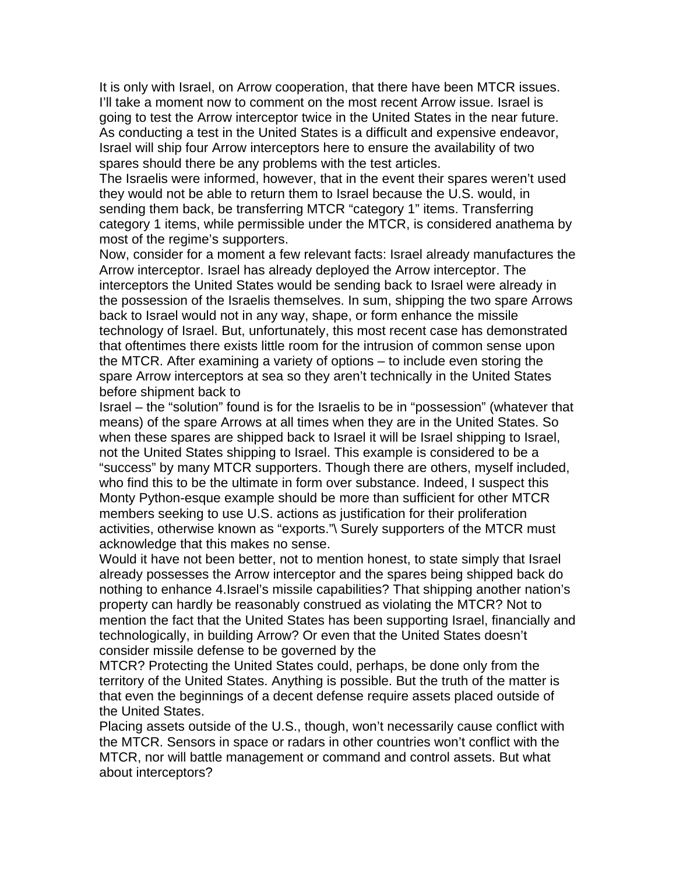It is only with Israel, on Arrow cooperation, that there have been MTCR issues. I'll take a moment now to comment on the most recent Arrow issue. Israel is going to test the Arrow interceptor twice in the United States in the near future. As conducting a test in the United States is a difficult and expensive endeavor, Israel will ship four Arrow interceptors here to ensure the availability of two spares should there be any problems with the test articles.

The Israelis were informed, however, that in the event their spares weren't used they would not be able to return them to Israel because the U.S. would, in sending them back, be transferring MTCR "category 1" items. Transferring category 1 items, while permissible under the MTCR, is considered anathema by most of the regime's supporters.

Now, consider for a moment a few relevant facts: Israel already manufactures the Arrow interceptor. Israel has already deployed the Arrow interceptor. The interceptors the United States would be sending back to Israel were already in the possession of the Israelis themselves. In sum, shipping the two spare Arrows back to Israel would not in any way, shape, or form enhance the missile technology of Israel. But, unfortunately, this most recent case has demonstrated that oftentimes there exists little room for the intrusion of common sense upon the MTCR. After examining a variety of options – to include even storing the spare Arrow interceptors at sea so they aren't technically in the United States before shipment back to

Israel – the "solution" found is for the Israelis to be in "possession" (whatever that means) of the spare Arrows at all times when they are in the United States. So when these spares are shipped back to Israel it will be Israel shipping to Israel, not the United States shipping to Israel. This example is considered to be a "success" by many MTCR supporters. Though there are others, myself included, who find this to be the ultimate in form over substance. Indeed, I suspect this Monty Python-esque example should be more than sufficient for other MTCR members seeking to use U.S. actions as justification for their proliferation activities, otherwise known as "exports."\ Surely supporters of the MTCR must acknowledge that this makes no sense.

Would it have not been better, not to mention honest, to state simply that Israel already possesses the Arrow interceptor and the spares being shipped back do nothing to enhance 4.Israel's missile capabilities? That shipping another nation's property can hardly be reasonably construed as violating the MTCR? Not to mention the fact that the United States has been supporting Israel, financially and technologically, in building Arrow? Or even that the United States doesn't consider missile defense to be governed by the

MTCR? Protecting the United States could, perhaps, be done only from the territory of the United States. Anything is possible. But the truth of the matter is that even the beginnings of a decent defense require assets placed outside of the United States.

Placing assets outside of the U.S., though, won't necessarily cause conflict with the MTCR. Sensors in space or radars in other countries won't conflict with the MTCR, nor will battle management or command and control assets. But what about interceptors?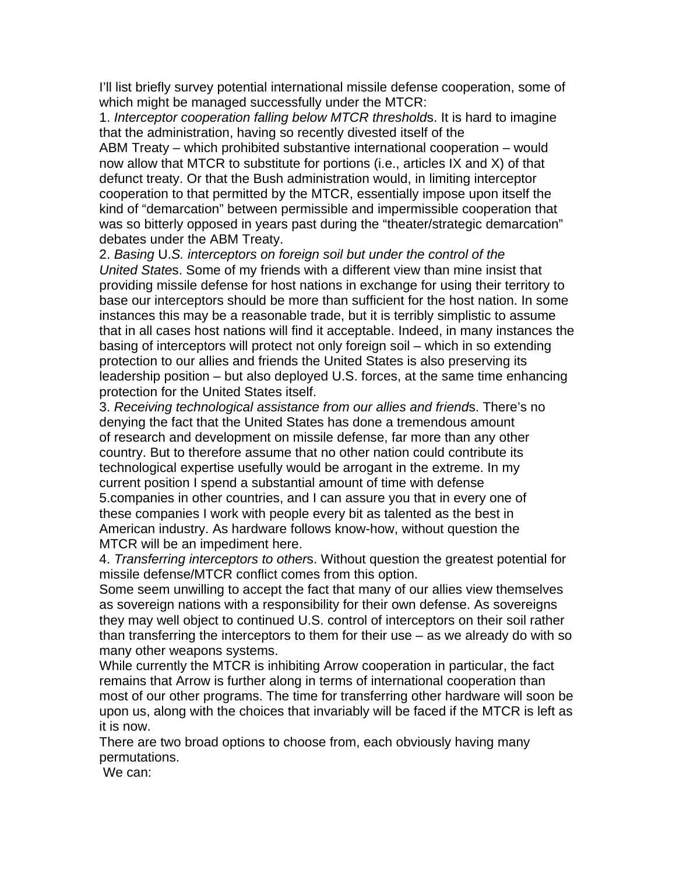I'll list briefly survey potential international missile defense cooperation, some of which might be managed successfully under the MTCR:

1. *Interceptor cooperation falling below MTCR threshold*s. It is hard to imagine that the administration, having so recently divested itself of the

ABM Treaty – which prohibited substantive international cooperation – would now allow that MTCR to substitute for portions (i.e., articles IX and X) of that defunct treaty. Or that the Bush administration would, in limiting interceptor cooperation to that permitted by the MTCR, essentially impose upon itself the kind of "demarcation" between permissible and impermissible cooperation that was so bitterly opposed in years past during the "theater/strategic demarcation" debates under the ABM Treaty.

2. *Basing* U.*S. interceptors on foreign soil but under the control of the United State*s. Some of my friends with a different view than mine insist that providing missile defense for host nations in exchange for using their territory to base our interceptors should be more than sufficient for the host nation. In some instances this may be a reasonable trade, but it is terribly simplistic to assume that in all cases host nations will find it acceptable. Indeed, in many instances the basing of interceptors will protect not only foreign soil – which in so extending protection to our allies and friends the United States is also preserving its leadership position – but also deployed U.S. forces, at the same time enhancing protection for the United States itself.

3. *Receiving technological assistance from our allies and friend*s. There's no denying the fact that the United States has done a tremendous amount of research and development on missile defense, far more than any other country. But to therefore assume that no other nation could contribute its technological expertise usefully would be arrogant in the extreme. In my current position I spend a substantial amount of time with defense 5.companies in other countries, and I can assure you that in every one of these companies I work with people every bit as talented as the best in American industry. As hardware follows know-how, without question the MTCR will be an impediment here.

4. *Transferring interceptors to other*s. Without question the greatest potential for missile defense/MTCR conflict comes from this option.

Some seem unwilling to accept the fact that many of our allies view themselves as sovereign nations with a responsibility for their own defense. As sovereigns they may well object to continued U.S. control of interceptors on their soil rather than transferring the interceptors to them for their use – as we already do with so many other weapons systems.

While currently the MTCR is inhibiting Arrow cooperation in particular, the fact remains that Arrow is further along in terms of international cooperation than most of our other programs. The time for transferring other hardware will soon be upon us, along with the choices that invariably will be faced if the MTCR is left as it is now.

There are two broad options to choose from, each obviously having many permutations.

We can: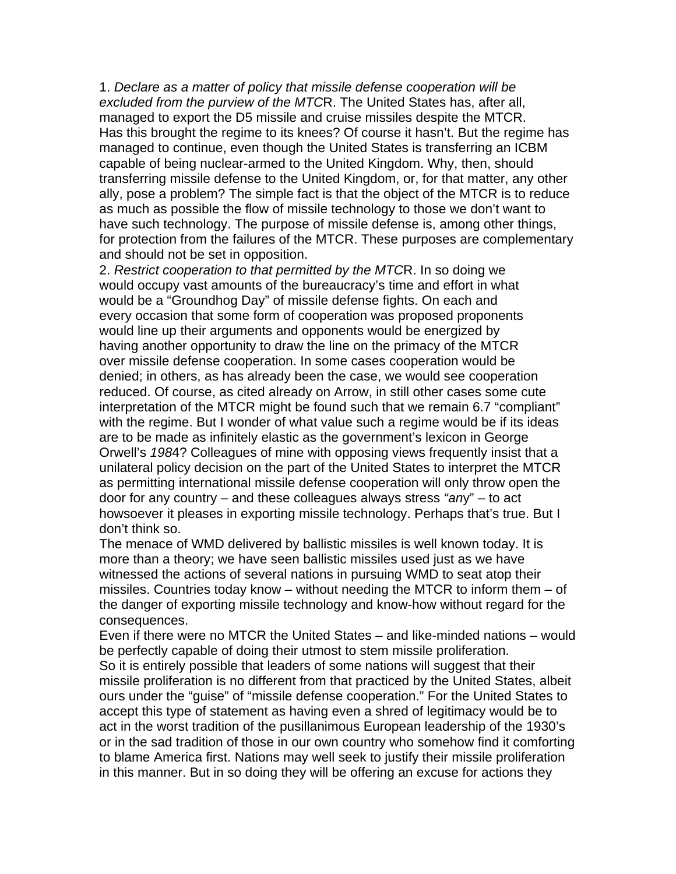1. *Declare as a matter of policy that missile defense cooperation will be excluded from the purview of the MTC*R. The United States has, after all, managed to export the D5 missile and cruise missiles despite the MTCR. Has this brought the regime to its knees? Of course it hasn't. But the regime has managed to continue, even though the United States is transferring an ICBM capable of being nuclear-armed to the United Kingdom. Why, then, should transferring missile defense to the United Kingdom, or, for that matter, any other ally, pose a problem? The simple fact is that the object of the MTCR is to reduce as much as possible the flow of missile technology to those we don't want to have such technology. The purpose of missile defense is, among other things, for protection from the failures of the MTCR. These purposes are complementary and should not be set in opposition.

2. *Restrict cooperation to that permitted by the MTC*R. In so doing we would occupy vast amounts of the bureaucracy's time and effort in what would be a "Groundhog Day" of missile defense fights. On each and every occasion that some form of cooperation was proposed proponents would line up their arguments and opponents would be energized by having another opportunity to draw the line on the primacy of the MTCR over missile defense cooperation. In some cases cooperation would be denied; in others, as has already been the case, we would see cooperation reduced. Of course, as cited already on Arrow, in still other cases some cute interpretation of the MTCR might be found such that we remain 6.7 "compliant" with the regime. But I wonder of what value such a regime would be if its ideas are to be made as infinitely elastic as the government's lexicon in George Orwell's *198*4? Colleagues of mine with opposing views frequently insist that a unilateral policy decision on the part of the United States to interpret the MTCR as permitting international missile defense cooperation will only throw open the door for any country – and these colleagues always stress *"an*y" – to act howsoever it pleases in exporting missile technology. Perhaps that's true. But I don't think so.

The menace of WMD delivered by ballistic missiles is well known today. It is more than a theory; we have seen ballistic missiles used just as we have witnessed the actions of several nations in pursuing WMD to seat atop their missiles. Countries today know – without needing the MTCR to inform them – of the danger of exporting missile technology and know-how without regard for the consequences.

Even if there were no MTCR the United States – and like-minded nations – would be perfectly capable of doing their utmost to stem missile proliferation. So it is entirely possible that leaders of some nations will suggest that their missile proliferation is no different from that practiced by the United States, albeit ours under the "guise" of "missile defense cooperation." For the United States to accept this type of statement as having even a shred of legitimacy would be to act in the worst tradition of the pusillanimous European leadership of the 1930's or in the sad tradition of those in our own country who somehow find it comforting to blame America first. Nations may well seek to justify their missile proliferation in this manner. But in so doing they will be offering an excuse for actions they